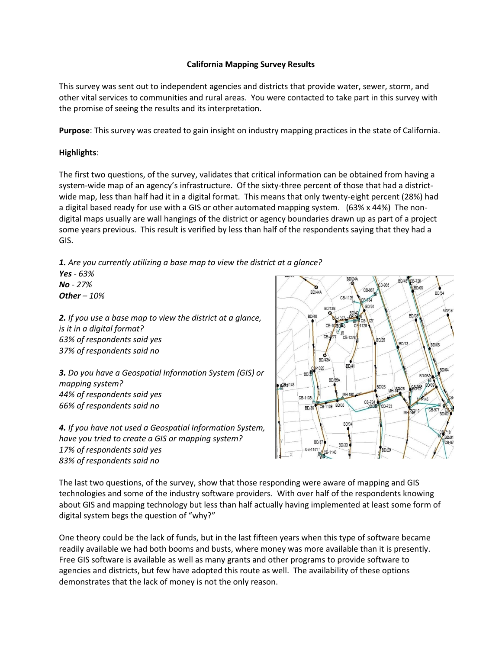## **California Mapping Survey Results**

This survey was sent out to independent agencies and districts that provide water, sewer, storm, and other vital services to communities and rural areas. You were contacted to take part in this survey with the promise of seeing the results and its interpretation.

**Purpose**: This survey was created to gain insight on industry mapping practices in the state of California.

## **Highlights**:

The first two questions, of the survey, validates that critical information can be obtained from having a system-wide map of an agency's infrastructure. Of the sixty-three percent of those that had a districtwide map, less than half had it in a digital format. This means that only twenty-eight percent (28%) had a digital based ready for use with a GIS or other automated mapping system. (63% x 44%) The nondigital maps usually are wall hangings of the district or agency boundaries drawn up as part of a project some years previous. This result is verified by less than half of the respondents saying that they had a GIS.

*1. Are you currently utilizing a base map to view the district at a glance? Yes - 63% No - 27% Other – 10%*

*2. If you use a base map to view the district at a glance, is it in a digital format? 63% of respondents said yes 37% of respondents said no*

*3. Do you have a Geospatial Information System (GIS) or mapping system? 44% of respondents said yes 66% of respondents said no*

*4. If you have not used a Geospatial Information System, have you tried to create a GIS or mapping system? 17% of respondents said yes 83% of respondents said no*



The last two questions, of the survey, show that those responding were aware of mapping and GIS technologies and some of the industry software providers. With over half of the respondents knowing about GIS and mapping technology but less than half actually having implemented at least some form of digital system begs the question of "why?"

One theory could be the lack of funds, but in the last fifteen years when this type of software became readily available we had both booms and busts, where money was more available than it is presently. Free GIS software is available as well as many grants and other programs to provide software to agencies and districts, but few have adopted this route as well. The availability of these options demonstrates that the lack of money is not the only reason.